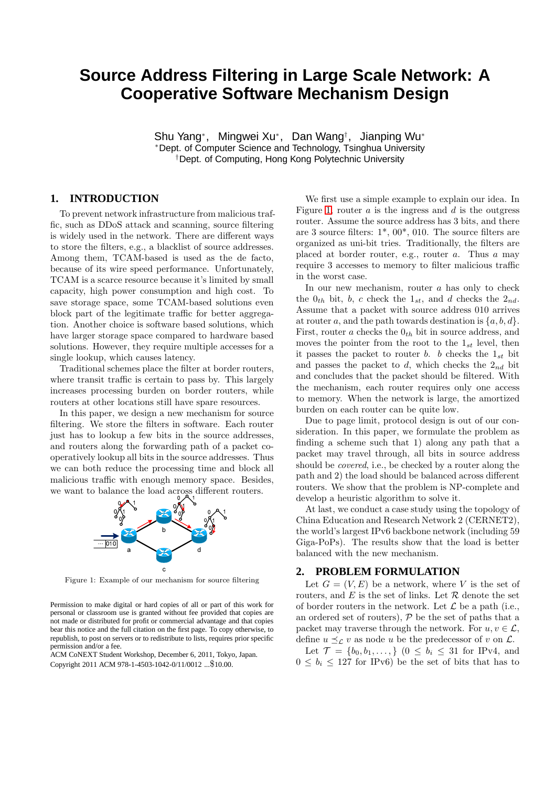## **Source Address Filtering in Large Scale Network: A Cooperative Software Mechanism Design**

Shu Yang<sup>∗</sup> , Mingwei Xu<sup>∗</sup> , Dan Wang† , Jianping Wu<sup>∗</sup> <sup>∗</sup>Dept. of Computer Science and Technology, Tsinghua University †Dept. of Computing, Hong Kong Polytechnic University

## **1. INTRODUCTION**

To prevent network infrastructure from malicious traffic, such as DDoS attack and scanning, source filtering is widely used in the network. There are different ways to store the filters, e.g., a blacklist of source addresses. Among them, TCAM-based is used as the de facto, because of its wire speed performance. Unfortunately, TCAM is a scarce resource because it's limited by small capacity, high power consumption and high cost. To save storage space, some TCAM-based solutions even block part of the legitimate traffic for better aggregation. Another choice is software based solutions, which have larger storage space compared to hardware based solutions. However, they require multiple accesses for a single lookup, which causes latency.

Traditional schemes place the filter at border routers, where transit traffic is certain to pass by. This largely increases processing burden on border routers, while routers at other locations still have spare resources.

In this paper, we design a new mechanism for source filtering. We store the filters in software. Each router just has to lookup a few bits in the source addresses, and routers along the forwarding path of a packet cooperatively lookup all bits in the source addresses. Thus we can both reduce the processing time and block all malicious traffic with enough memory space. Besides, we want to balance the load across different routers.

<span id="page-0-0"></span>

Figure 1: Example of our mechanism for source filtering

Permission to make digital or hard copies of all or part of this work for personal or classroom use is granted without fee provided that copies are not made or distributed for profit or commercial advantage and that copies bear this notice and the full citation on the first page. To copy otherwise, to republish, to post on servers or to redistribute to lists, requires prior specific permission and/or a fee.

ACM CoNEXT Student Workshop, December 6, 2011, Tokyo, Japan. Copyright 2011 ACM 978-1-4503-1042-0/11/0012 ...\$10.00.

We first use a simple example to explain our idea. In Figure [1,](#page-0-0) router  $a$  is the ingress and  $d$  is the outgress router. Assume the source address has 3 bits, and there are 3 source filters:  $1^*$ ,  $00^*$ ,  $010$ . The source filters are organized as uni-bit tries. Traditionally, the filters are placed at border router, e.g., router  $a$ . Thus  $a$  may require 3 accesses to memory to filter malicious traffic in the worst case.

In our new mechanism, router  $a$  has only to check the  $0_{th}$  bit, b, c check the  $1_{st}$ , and d checks the  $2_{nd}$ . Assume that a packet with source address 010 arrives at router a, and the path towards destination is  $\{a, b, d\}.$ First, router a checks the  $0<sub>th</sub>$  bit in source address, and moves the pointer from the root to the  $1_{st}$  level, then it passes the packet to router b. b checks the  $1_{st}$  bit and passes the packet to  $d$ , which checks the  $2_{nd}$  bit and concludes that the packet should be filtered. With the mechanism, each router requires only one access to memory. When the network is large, the amortized burden on each router can be quite low.

Due to page limit, protocol design is out of our consideration. In this paper, we formulate the problem as finding a scheme such that 1) along any path that a packet may travel through, all bits in source address should be covered, i.e., be checked by a router along the path and 2) the load should be balanced across different routers. We show that the problem is NP-complete and develop a heuristic algorithm to solve it.

At last, we conduct a case study using the topology of China Education and Research Network 2 (CERNET2), the world's largest IPv6 backbone network (including 59 Giga-PoPs). The results show that the load is better balanced with the new mechanism.

### **2. PROBLEM FORMULATION**

Let  $G = (V, E)$  be a network, where V is the set of routers, and  $E$  is the set of links. Let  $R$  denote the set of border routers in the network. Let  $\mathcal L$  be a path (i.e., an ordered set of routers),  $P$  be the set of paths that a packet may traverse through the network. For  $u, v \in \mathcal{L}$ , define  $u \preceq_{\mathcal{L}} v$  as node u be the predecessor of v on  $\mathcal{L}$ .

Let  $\mathcal{T} = \{b_0, b_1, \ldots\}$   $(0 \leq b_i \leq 31$  for IPv4, and  $0 \leq b_i \leq 127$  for IPv6) be the set of bits that has to